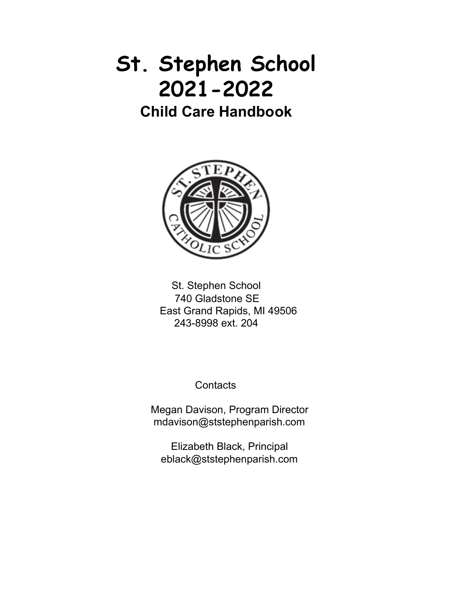# **St. Stephen School 2021-2022**

**Child Care Handbook**



St. Stephen School 740 Gladstone SE East Grand Rapids, MI 49506 243-8998 ext. 204

**Contacts** 

Megan Davison, Program Director mdavison@ststephenparish.com

Elizabeth Black, Principal eblack@ststephenparish.com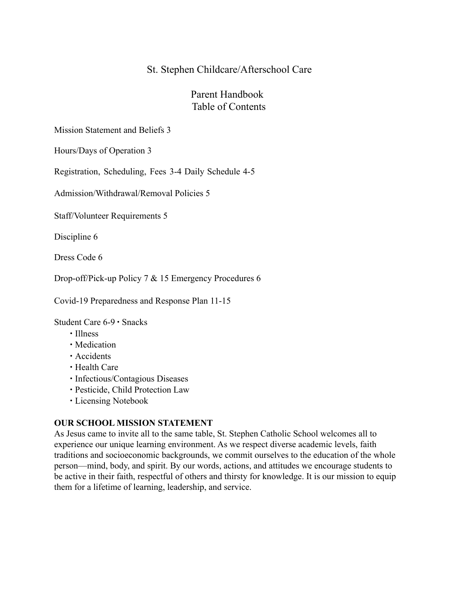# St. Stephen Childcare/Afterschool Care

# Parent Handbook Table of Contents

Mission Statement and Beliefs 3

Hours/Days of Operation 3

Registration, Scheduling, Fees 3-4 Daily Schedule 4-5

Admission/Withdrawal/Removal Policies 5

Staff/Volunteer Requirements 5

Discipline 6

Dress Code 6

Drop-off/Pick-up Policy 7 & 15 Emergency Procedures 6

Covid-19 Preparedness and Response Plan 11-15

Student Care 6-9 ∙ Snacks

- ∙ Illness
- ∙ Medication
- ∙ Accidents
- ∙ Health Care
- ∙ Infectious/Contagious Diseases
- ∙ Pesticide, Child Protection Law
- ∙ Licensing Notebook

#### **OUR SCHOOL MISSION STATEMENT**

As Jesus came to invite all to the same table, St. Stephen Catholic School welcomes all to experience our unique learning environment. As we respect diverse academic levels, faith traditions and socioeconomic backgrounds, we commit ourselves to the education of the whole person—mind, body, and spirit. By our words, actions, and attitudes we encourage students to be active in their faith, respectful of others and thirsty for knowledge. It is our mission to equip them for a lifetime of learning, leadership, and service.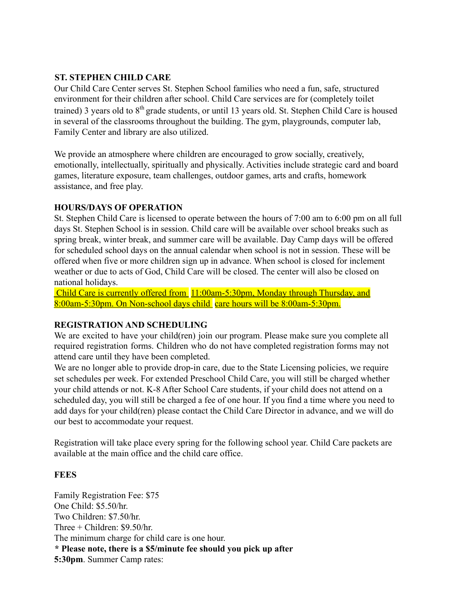# **ST. STEPHEN CHILD CARE**

Our Child Care Center serves St. Stephen School families who need a fun, safe, structured environment for their children after school. Child Care services are for (completely toilet trained) 3 years old to 8<sup>th</sup> grade students, or until 13 years old. St. Stephen Child Care is housed in several of the classrooms throughout the building. The gym, playgrounds, computer lab, Family Center and library are also utilized.

We provide an atmosphere where children are encouraged to grow socially, creatively, emotionally, intellectually, spiritually and physically. Activities include strategic card and board games, literature exposure, team challenges, outdoor games, arts and crafts, homework assistance, and free play.

# **HOURS/DAYS OF OPERATION**

St. Stephen Child Care is licensed to operate between the hours of 7:00 am to 6:00 pm on all full days St. Stephen School is in session. Child care will be available over school breaks such as spring break, winter break, and summer care will be available. Day Camp days will be offered for scheduled school days on the annual calendar when school is not in session. These will be offered when five or more children sign up in advance. When school is closed for inclement weather or due to acts of God, Child Care will be closed. The center will also be closed on national holidays.

Child Care is currently offered from 11:00am-5:30pm, Monday through Thursday, and 8:00am-5:30pm. On Non-school days child care hours will be 8:00am-5:30pm.

# **REGISTRATION AND SCHEDULING**

We are excited to have your child(ren) join our program. Please make sure you complete all required registration forms. Children who do not have completed registration forms may not attend care until they have been completed.

We are no longer able to provide drop-in care, due to the State Licensing policies, we require set schedules per week. For extended Preschool Child Care, you will still be charged whether your child attends or not. K-8 After School Care students, if your child does not attend on a scheduled day, you will still be charged a fee of one hour. If you find a time where you need to add days for your child(ren) please contact the Child Care Director in advance, and we will do our best to accommodate your request.

Registration will take place every spring for the following school year. Child Care packets are available at the main office and the child care office.

# **FEES**

Family Registration Fee: \$75 One Child: \$5.50/hr. Two Children: \$7.50/hr. Three + Children: \$9.50/hr. The minimum charge for child care is one hour. **\* Please note, there is a \$5/minute fee should you pick up after 5:30pm**. Summer Camp rates: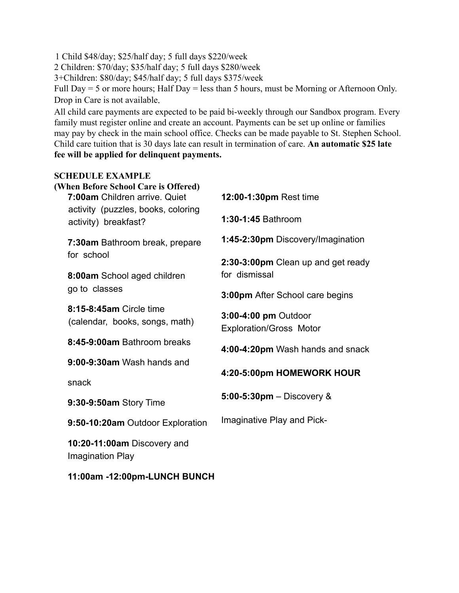1 Child \$48/day; \$25/half day; 5 full days \$220/week

2 Children: \$70/day; \$35/half day; 5 full days \$280/week

3+Children: \$80/day; \$45/half day; 5 full days \$375/week

Full Day = 5 or more hours; Half Day = less than 5 hours, must be Morning or Afternoon Only. Drop in Care is not available.

All child care payments are expected to be paid bi-weekly through our Sandbox program. Every family must register online and create an account. Payments can be set up online or families may pay by check in the main school office. Checks can be made payable to St. Stephen School. Child care tuition that is 30 days late can result in termination of care. **An automatic \$25 late fee will be applied for delinquent payments.**

#### **SCHEDULE EXAMPLE**

| (When Before School Care is Offered)<br>7:00am Children arrive. Quiet | 12:00-1:30pm Rest time                                 |
|-----------------------------------------------------------------------|--------------------------------------------------------|
| activity (puzzles, books, coloring<br>activity) breakfast?            | 1:30-1:45 Bathroom                                     |
| 7:30am Bathroom break, prepare                                        | 1:45-2:30pm Discovery/Imagination                      |
| for school                                                            | 2:30-3:00pm Clean up and get ready<br>for dismissal    |
| 8:00am School aged children<br>go to classes                          | 3:00pm After School care begins                        |
| 8:15-8:45am Circle time                                               |                                                        |
| (calendar, books, songs, math)                                        | 3:00-4:00 pm Outdoor<br><b>Exploration/Gross Motor</b> |
| 8:45-9:00am Bathroom breaks                                           | 4:00-4:20pm Wash hands and snack                       |
| 9:00-9:30am Wash hands and                                            | 4:20-5:00pm HOMEWORK HOUR                              |
| snack                                                                 |                                                        |
| 9:30-9:50am Story Time                                                | 5:00-5:30pm $-$ Discovery $\&$                         |
| 9:50-10:20am Outdoor Exploration                                      | Imaginative Play and Pick-                             |
| 10:20-11:00am Discovery and<br>Imagination Play                       |                                                        |

**11:00am -12:00pm-LUNCH BUNCH**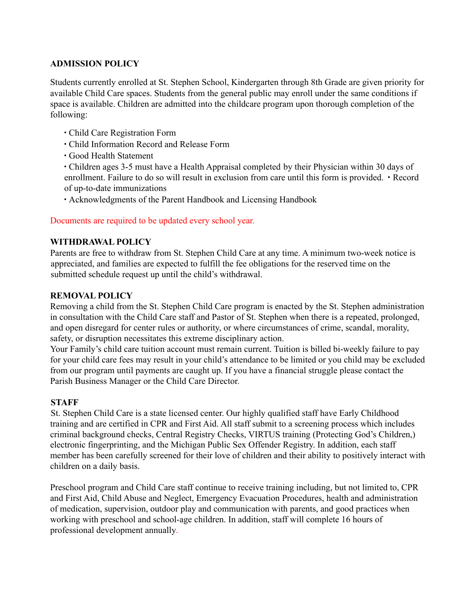# **ADMISSION POLICY**

Students currently enrolled at St. Stephen School, Kindergarten through 8th Grade are given priority for available Child Care spaces. Students from the general public may enroll under the same conditions if space is available. Children are admitted into the childcare program upon thorough completion of the following:

- ∙ Child Care Registration Form
- ∙ Child Information Record and Release Form
- ∙ Good Health Statement
- ∙ Children ages 3-5 must have a Health Appraisal completed by their Physician within 30 days of enrollment. Failure to do so will result in exclusion from care until this form is provided. ∙ Record of up-to-date immunizations
- ∙ Acknowledgments of the Parent Handbook and Licensing Handbook

# Documents are required to be updated every school year.

# **WITHDRAWAL POLICY**

Parents are free to withdraw from St. Stephen Child Care at any time. A minimum two-week notice is appreciated, and families are expected to fulfill the fee obligations for the reserved time on the submitted schedule request up until the child's withdrawal.

# **REMOVAL POLICY**

Removing a child from the St. Stephen Child Care program is enacted by the St. Stephen administration in consultation with the Child Care staff and Pastor of St. Stephen when there is a repeated, prolonged, and open disregard for center rules or authority, or where circumstances of crime, scandal, morality, safety, or disruption necessitates this extreme disciplinary action.

Your Family's child care tuition account must remain current. Tuition is billed bi-weekly failure to pay for your child care fees may result in your child's attendance to be limited or you child may be excluded from our program until payments are caught up. If you have a financial struggle please contact the Parish Business Manager or the Child Care Director.

# **STAFF**

St. Stephen Child Care is a state licensed center. Our highly qualified staff have Early Childhood training and are certified in CPR and First Aid. All staff submit to a screening process which includes criminal background checks, Central Registry Checks, VIRTUS training (Protecting God's Children,) electronic fingerprinting, and the Michigan Public Sex Offender Registry. In addition, each staff member has been carefully screened for their love of children and their ability to positively interact with children on a daily basis.

Preschool program and Child Care staff continue to receive training including, but not limited to, CPR and First Aid, Child Abuse and Neglect, Emergency Evacuation Procedures, health and administration of medication, supervision, outdoor play and communication with parents, and good practices when working with preschool and school-age children. In addition, staff will complete 16 hours of professional development annually.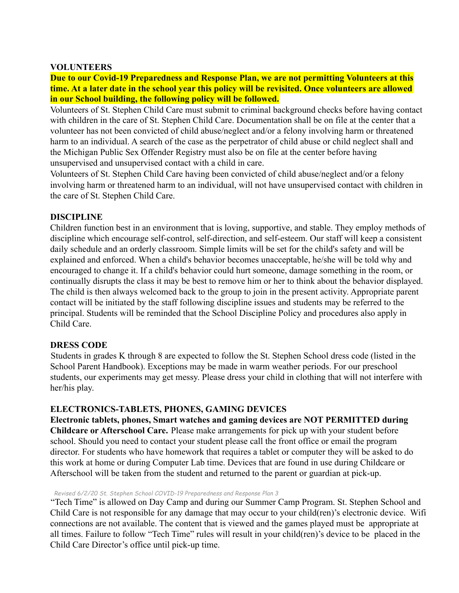#### **VOLUNTEERS**

#### **Due to our Covid-19 Preparedness and Response Plan, we are not permitting Volunteers at this time. At a later date in the school year this policy will be revisited. Once volunteers are allowed in our School building, the following policy will be followed.**

Volunteers of St. Stephen Child Care must submit to criminal background checks before having contact with children in the care of St. Stephen Child Care. Documentation shall be on file at the center that a volunteer has not been convicted of child abuse/neglect and/or a felony involving harm or threatened harm to an individual. A search of the case as the perpetrator of child abuse or child neglect shall and the Michigan Public Sex Offender Registry must also be on file at the center before having unsupervised and unsupervised contact with a child in care.

Volunteers of St. Stephen Child Care having been convicted of child abuse/neglect and/or a felony involving harm or threatened harm to an individual, will not have unsupervised contact with children in the care of St. Stephen Child Care.

#### **DISCIPLINE**

Children function best in an environment that is loving, supportive, and stable. They employ methods of discipline which encourage self-control, self-direction, and self-esteem. Our staff will keep a consistent daily schedule and an orderly classroom. Simple limits will be set for the child's safety and will be explained and enforced. When a child's behavior becomes unacceptable, he/she will be told why and encouraged to change it. If a child's behavior could hurt someone, damage something in the room, or continually disrupts the class it may be best to remove him or her to think about the behavior displayed. The child is then always welcomed back to the group to join in the present activity. Appropriate parent contact will be initiated by the staff following discipline issues and students may be referred to the principal. Students will be reminded that the School Discipline Policy and procedures also apply in Child Care.

#### **DRESS CODE**

Students in grades K through 8 are expected to follow the St. Stephen School dress code (listed in the School Parent Handbook). Exceptions may be made in warm weather periods. For our preschool students, our experiments may get messy. Please dress your child in clothing that will not interfere with her/his play.

# **ELECTRONICS-TABLETS, PHONES, GAMING DEVICES**

**Electronic tablets, phones, Smart watches and gaming devices are NOT PERMITTED during Childcare or Afterschool Care.** Please make arrangements for pick up with your student before school. Should you need to contact your student please call the front office or email the program director. For students who have homework that requires a tablet or computer they will be asked to do this work at home or during Computer Lab time. Devices that are found in use during Childcare or Afterschool will be taken from the student and returned to the parent or guardian at pick-up.

#### *Revised 6/2/20 St. Stephen School COVID-19 Preparedness and Response Plan 3*

"Tech Time" is allowed on Day Camp and during our Summer Camp Program. St. Stephen School and Child Care is not responsible for any damage that may occur to your child(ren)'s electronic device. Wifi connections are not available. The content that is viewed and the games played must be appropriate at all times. Failure to follow "Tech Time" rules will result in your child(ren)'s device to be placed in the Child Care Director's office until pick-up time.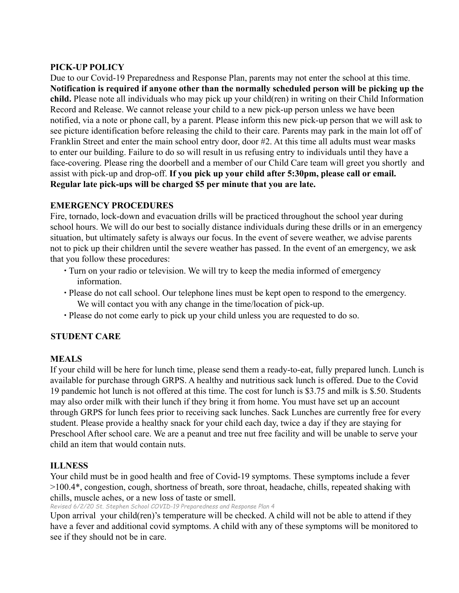# **PICK-UP POLICY**

Due to our Covid-19 Preparedness and Response Plan, parents may not enter the school at this time. **Notification is required if anyone other than the normally scheduled person will be picking up the child.** Please note all individuals who may pick up your child(ren) in writing on their Child Information Record and Release. We cannot release your child to a new pick-up person unless we have been notified, via a note or phone call, by a parent. Please inform this new pick-up person that we will ask to see picture identification before releasing the child to their care. Parents may park in the main lot off of Franklin Street and enter the main school entry door, door #2. At this time all adults must wear masks to enter our building. Failure to do so will result in us refusing entry to individuals until they have a face-covering. Please ring the doorbell and a member of our Child Care team will greet you shortly and assist with pick-up and drop-off. **If you pick up your child after 5:30pm, please call or email. Regular late pick-ups will be charged \$5 per minute that you are late.**

# **EMERGENCY PROCEDURES**

Fire, tornado, lock-down and evacuation drills will be practiced throughout the school year during school hours. We will do our best to socially distance individuals during these drills or in an emergency situation, but ultimately safety is always our focus. In the event of severe weather, we advise parents not to pick up their children until the severe weather has passed. In the event of an emergency, we ask that you follow these procedures:

- ∙ Turn on your radio or television. We will try to keep the media informed of emergency information.
- ∙ Please do not call school. Our telephone lines must be kept open to respond to the emergency. We will contact you with any change in the time/location of pick-up.
- ∙ Please do not come early to pick up your child unless you are requested to do so.

# **STUDENT CARE**

# **MEALS**

If your child will be here for lunch time, please send them a ready-to-eat, fully prepared lunch. Lunch is available for purchase through GRPS. A healthy and nutritious sack lunch is offered. Due to the Covid 19 pandemic hot lunch is not offered at this time. The cost for lunch is \$3.75 and milk is \$.50. Students may also order milk with their lunch if they bring it from home. You must have set up an account through GRPS for lunch fees prior to receiving sack lunches. Sack Lunches are currently free for every student. Please provide a healthy snack for your child each day, twice a day if they are staying for Preschool After school care. We are a peanut and tree nut free facility and will be unable to serve your child an item that would contain nuts.

# **ILLNESS**

Your child must be in good health and free of Covid-19 symptoms. These symptoms include a fever >100.4\*, congestion, cough, shortness of breath, sore throat, headache, chills, repeated shaking with chills, muscle aches, or a new loss of taste or smell.

*Revised 6/2/20 St. Stephen School COVID-19 Preparedness and Response Plan 4*

Upon arrival your child(ren)'s temperature will be checked. A child will not be able to attend if they have a fever and additional covid symptoms. A child with any of these symptoms will be monitored to see if they should not be in care.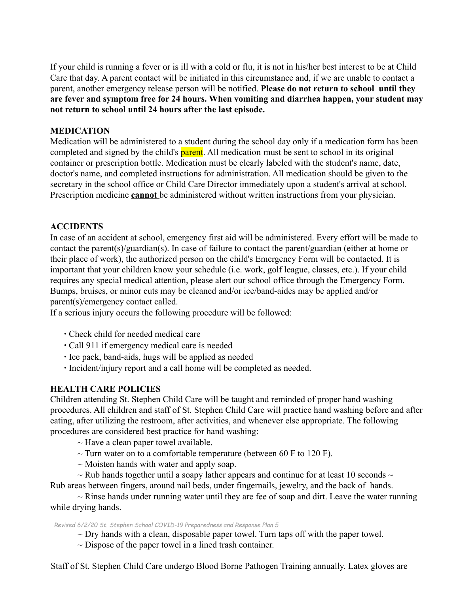If your child is running a fever or is ill with a cold or flu, it is not in his/her best interest to be at Child Care that day. A parent contact will be initiated in this circumstance and, if we are unable to contact a parent, another emergency release person will be notified. **Please do not return to school until they are fever and symptom free for 24 hours. When vomiting and diarrhea happen, your student may not return to school until 24 hours after the last episode.**

# **MEDICATION**

Medication will be administered to a student during the school day only if a medication form has been completed and signed by the child's **parent**. All medication must be sent to school in its original container or prescription bottle. Medication must be clearly labeled with the student's name, date, doctor's name, and completed instructions for administration. All medication should be given to the secretary in the school office or Child Care Director immediately upon a student's arrival at school. Prescription medicine **cannot** be administered without written instructions from your physician.

# **ACCIDENTS**

In case of an accident at school, emergency first aid will be administered. Every effort will be made to contact the parent(s)/guardian(s). In case of failure to contact the parent/guardian (either at home or their place of work), the authorized person on the child's Emergency Form will be contacted. It is important that your children know your schedule (i.e. work, golf league, classes, etc.). If your child requires any special medical attention, please alert our school office through the Emergency Form. Bumps, bruises, or minor cuts may be cleaned and/or ice/band-aides may be applied and/or parent(s)/emergency contact called.

If a serious injury occurs the following procedure will be followed:

- ∙ Check child for needed medical care
- ∙ Call 911 if emergency medical care is needed
- ∙ Ice pack, band-aids, hugs will be applied as needed
- ∙ Incident/injury report and a call home will be completed as needed.

# **HEALTH CARE POLICIES**

Children attending St. Stephen Child Care will be taught and reminded of proper hand washing procedures. All children and staff of St. Stephen Child Care will practice hand washing before and after eating, after utilizing the restroom, after activities, and whenever else appropriate. The following procedures are considered best practice for hand washing:

- $\sim$  Have a clean paper towel available.
- $\sim$  Turn water on to a comfortable temperature (between 60 F to 120 F).
- $\sim$  Moisten hands with water and apply soap.
- $\sim$  Rub hands together until a soapy lather appears and continue for at least 10 seconds  $\sim$

Rub areas between fingers, around nail beds, under fingernails, jewelry, and the back of hands.

 $\sim$  Rinse hands under running water until they are fee of soap and dirt. Leave the water running while drying hands.

#### *Revised 6/2/20 St. Stephen School COVID-19 Preparedness and Response Plan 5*

 $\sim$  Dry hands with a clean, disposable paper towel. Turn taps off with the paper towel.

 $\sim$  Dispose of the paper towel in a lined trash container.

Staff of St. Stephen Child Care undergo Blood Borne Pathogen Training annually. Latex gloves are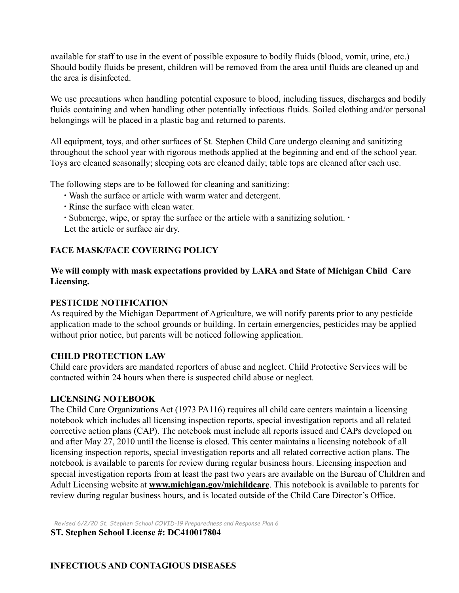available for staff to use in the event of possible exposure to bodily fluids (blood, vomit, urine, etc.) Should bodily fluids be present, children will be removed from the area until fluids are cleaned up and the area is disinfected.

We use precautions when handling potential exposure to blood, including tissues, discharges and bodily fluids containing and when handling other potentially infectious fluids. Soiled clothing and/or personal belongings will be placed in a plastic bag and returned to parents.

All equipment, toys, and other surfaces of St. Stephen Child Care undergo cleaning and sanitizing throughout the school year with rigorous methods applied at the beginning and end of the school year. Toys are cleaned seasonally; sleeping cots are cleaned daily; table tops are cleaned after each use.

The following steps are to be followed for cleaning and sanitizing:

- ∙ Wash the surface or article with warm water and detergent.
- ∙ Rinse the surface with clean water.
- ∙ Submerge, wipe, or spray the surface or the article with a sanitizing solution. ∙

Let the article or surface air dry.

# **FACE MASK/FACE COVERING POLICY**

# **We will comply with mask expectations provided by LARA and State of Michigan Child Care Licensing.**

# **PESTICIDE NOTIFICATION**

As required by the Michigan Department of Agriculture, we will notify parents prior to any pesticide application made to the school grounds or building. In certain emergencies, pesticides may be applied without prior notice, but parents will be noticed following application.

# **CHILD PROTECTION LAW**

Child care providers are mandated reporters of abuse and neglect. Child Protective Services will be contacted within 24 hours when there is suspected child abuse or neglect.

#### **LICENSING NOTEBOOK**

The Child Care Organizations Act (1973 PA116) requires all child care centers maintain a licensing notebook which includes all licensing inspection reports, special investigation reports and all related corrective action plans (CAP). The notebook must include all reports issued and CAPs developed on and after May 27, 2010 until the license is closed. This center maintains a licensing notebook of all licensing inspection reports, special investigation reports and all related corrective action plans. The notebook is available to parents for review during regular business hours. Licensing inspection and special investigation reports from at least the past two years are available on the Bureau of Children and Adult Licensing website at **www.michigan.gov/michildcare**. This notebook is available to parents for review during regular business hours, and is located outside of the Child Care Director's Office.

*Revised 6/2/20 St. Stephen School COVID-19 Preparedness and Response Plan 6*

**ST. Stephen School License #: DC410017804**

**INFECTIOUS AND CONTAGIOUS DISEASES**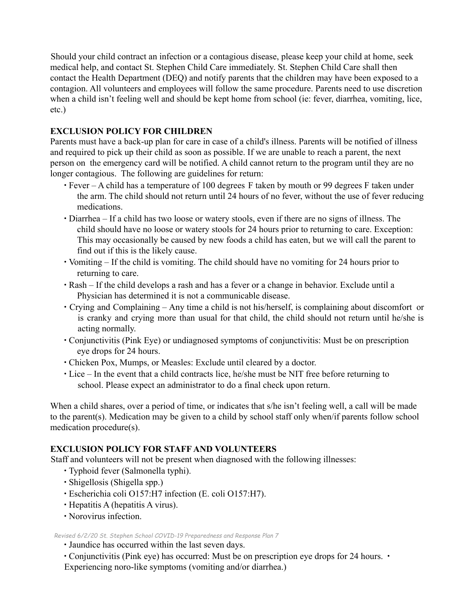Should your child contract an infection or a contagious disease, please keep your child at home, seek medical help, and contact St. Stephen Child Care immediately. St. Stephen Child Care shall then contact the Health Department (DEQ) and notify parents that the children may have been exposed to a contagion. All volunteers and employees will follow the same procedure. Parents need to use discretion when a child isn't feeling well and should be kept home from school (ie: fever, diarrhea, vomiting, lice, etc.)

# **EXCLUSION POLICY FOR CHILDREN**

Parents must have a back-up plan for care in case of a child's illness. Parents will be notified of illness and required to pick up their child as soon as possible. If we are unable to reach a parent, the next person on the emergency card will be notified. A child cannot return to the program until they are no longer contagious. The following are guidelines for return:

- ∙ Fever A child has a temperature of 100 degrees F taken by mouth or 99 degrees F taken under the arm. The child should not return until 24 hours of no fever, without the use of fever reducing medications.
- ∙ Diarrhea If a child has two loose or watery stools, even if there are no signs of illness. The child should have no loose or watery stools for 24 hours prior to returning to care. Exception: This may occasionally be caused by new foods a child has eaten, but we will call the parent to find out if this is the likely cause.
- ∙ Vomiting If the child is vomiting. The child should have no vomiting for 24 hours prior to returning to care.
- ∙ Rash If the child develops a rash and has a fever or a change in behavior. Exclude until a Physician has determined it is not a communicable disease.
- ∙ Crying and Complaining Any time a child is not his/herself, is complaining about discomfort or is cranky and crying more than usual for that child, the child should not return until he/she is acting normally.
- ∙ Conjunctivitis (Pink Eye) or undiagnosed symptoms of conjunctivitis: Must be on prescription eye drops for 24 hours.
- ∙ Chicken Pox, Mumps, or Measles: Exclude until cleared by a doctor.
- ∙ Lice In the event that a child contracts lice, he/she must be NIT free before returning to school. Please expect an administrator to do a final check upon return.

When a child shares, over a period of time, or indicates that s/he isn't feeling well, a call will be made to the parent(s). Medication may be given to a child by school staff only when/if parents follow school medication procedure(s).

# **EXCLUSION POLICY FOR STAFF AND VOLUNTEERS**

Staff and volunteers will not be present when diagnosed with the following illnesses:

- ∙ Typhoid fever (Salmonella typhi).
- ∙ Shigellosis (Shigella spp.)
- ∙ Escherichia coli O157:H7 infection (E. coli O157:H7).
- ∙ Hepatitis A (hepatitis A virus).
- ∙ Norovirus infection.

*Revised 6/2/20 St. Stephen School COVID-19 Preparedness and Response Plan 7*

∙ Jaundice has occurred within the last seven days.

∙ Conjunctivitis (Pink eye) has occurred: Must be on prescription eye drops for 24 hours. ∙

Experiencing noro-like symptoms (vomiting and/or diarrhea.)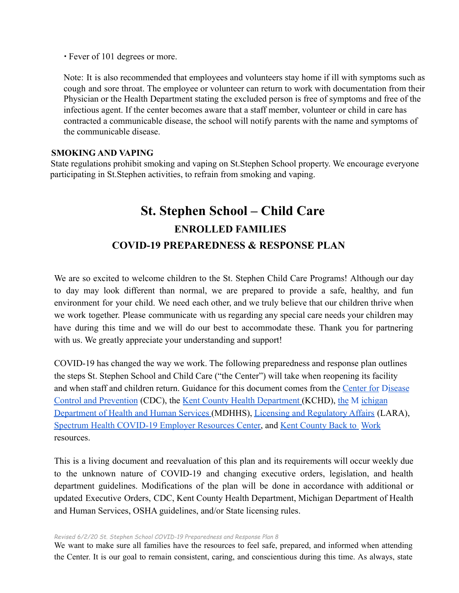∙ Fever of 101 degrees or more.

Note: It is also recommended that employees and volunteers stay home if ill with symptoms such as cough and sore throat. The employee or volunteer can return to work with documentation from their Physician or the Health Department stating the excluded person is free of symptoms and free of the infectious agent. If the center becomes aware that a staff member, volunteer or child in care has contracted a communicable disease, the school will notify parents with the name and symptoms of the communicable disease.

#### **SMOKING AND VAPING**

State regulations prohibit smoking and vaping on St.Stephen School property. We encourage everyone participating in St.Stephen activities, to refrain from smoking and vaping.

# **St. Stephen School – Child Care ENROLLED FAMILIES COVID-19 PREPAREDNESS & RESPONSE PLAN**

We are so excited to welcome children to the St. Stephen Child Care Programs! Although our day to day may look different than normal, we are prepared to provide a safe, healthy, and fun environment for your child. We need each other, and we truly believe that our children thrive when we work together. Please communicate with us regarding any special care needs your children may have during this time and we will do our best to accommodate these. Thank you for partnering with us. We greatly appreciate your understanding and support!

COVID-19 has changed the way we work. The following preparedness and response plan outlines the steps St. Stephen School and Child Care ("the Center") will take when reopening its facility and when staff and children return. Guidance for this document comes from the Center for Disease Control and Prevention (CDC), the Kent County Health Department (KCHD), the M ichigan Department of Health and Human Services (MDHHS), Licensing and Regulatory Affairs (LARA), Spectrum Health COVID-19 Employer Resources Center, and Kent County Back to Work resources.

This is a living document and reevaluation of this plan and its requirements will occur weekly due to the unknown nature of COVID-19 and changing executive orders, legislation, and health department guidelines. Modifications of the plan will be done in accordance with additional or updated Executive Orders, CDC, Kent County Health Department, Michigan Department of Health and Human Services, OSHA guidelines, and/or State licensing rules.

#### *Revised 6/2/20 St. Stephen School COVID-19 Preparedness and Response Plan 8*

We want to make sure all families have the resources to feel safe, prepared, and informed when attending the Center. It is our goal to remain consistent, caring, and conscientious during this time. As always, state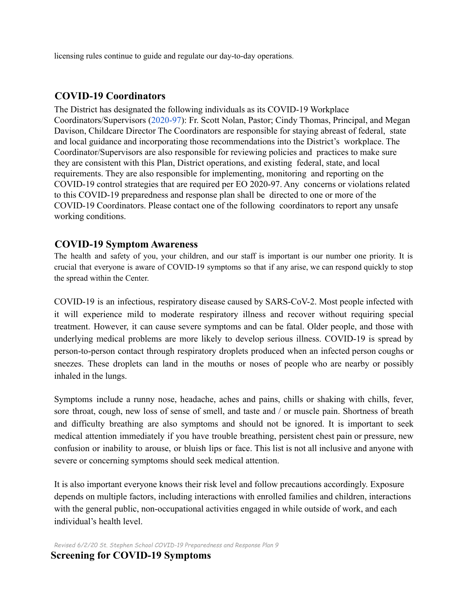licensing rules continue to guide and regulate our day-to-day operations.

# **COVID-19 Coordinators**

The District has designated the following individuals as its COVID-19 Workplace Coordinators/Supervisors (2020-97): Fr. Scott Nolan, Pastor; Cindy Thomas, Principal, and Megan Davison, Childcare Director The Coordinators are responsible for staying abreast of federal, state and local guidance and incorporating those recommendations into the District's workplace. The Coordinator/Supervisors are also responsible for reviewing policies and practices to make sure they are consistent with this Plan, District operations, and existing federal, state, and local requirements. They are also responsible for implementing, monitoring and reporting on the COVID-19 control strategies that are required per EO 2020-97. Any concerns or violations related to this COVID-19 preparedness and response plan shall be directed to one or more of the COVID-19 Coordinators. Please contact one of the following coordinators to report any unsafe working conditions.

# **COVID-19 Symptom Awareness**

The health and safety of you, your children, and our staff is important is our number one priority. It is crucial that everyone is aware of COVID-19 symptoms so that if any arise, we can respond quickly to stop the spread within the Center.

COVID-19 is an infectious, respiratory disease caused by SARS-CoV-2. Most people infected with it will experience mild to moderate respiratory illness and recover without requiring special treatment. However, it can cause severe symptoms and can be fatal. Older people, and those with underlying medical problems are more likely to develop serious illness. COVID-19 is spread by person-to-person contact through respiratory droplets produced when an infected person coughs or sneezes. These droplets can land in the mouths or noses of people who are nearby or possibly inhaled in the lungs.

Symptoms include a runny nose, headache, aches and pains, chills or shaking with chills, fever, sore throat, cough, new loss of sense of smell, and taste and / or muscle pain. Shortness of breath and difficulty breathing are also symptoms and should not be ignored. It is important to seek medical attention immediately if you have trouble breathing, persistent chest pain or pressure, new confusion or inability to arouse, or bluish lips or face. This list is not all inclusive and anyone with severe or concerning symptoms should seek medical attention.

It is also important everyone knows their risk level and follow precautions accordingly. Exposure depends on multiple factors, including interactions with enrolled families and children, interactions with the general public, non-occupational activities engaged in while outside of work, and each individual's health level.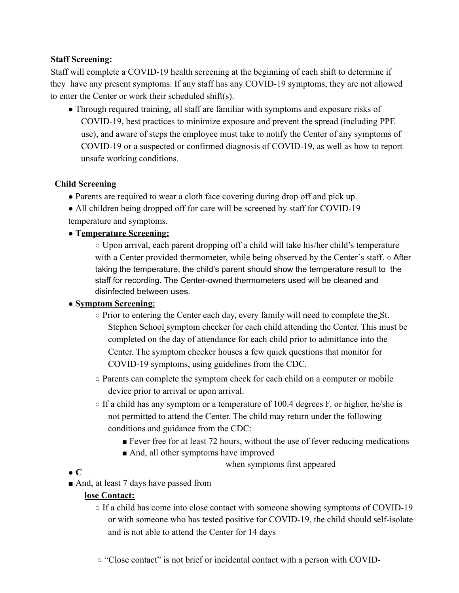# **Staff Screening:**

Staff will complete a COVID-19 health screening at the beginning of each shift to determine if they have any present symptoms. If any staff has any COVID-19 symptoms, they are not allowed to enter the Center or work their scheduled shift(s).

• Through required training, all staff are familiar with symptoms and exposure risks of COVID-19, best practices to minimize exposure and prevent the spread (including PPE use), and aware of steps the employee must take to notify the Center of any symptoms of COVID-19 or a suspected or confirmed diagnosis of COVID-19, as well as how to report unsafe working conditions.

# **Child Screening**

- Parents are required to wear a cloth face covering during drop off and pick up.
- All children being dropped off for care will be screened by staff for COVID-19 temperature and symptoms.

# **● Temperature Screening:**

○ Upon arrival, each parent dropping off a child will take his/her child's temperature with a Center provided thermometer, while being observed by the Center's staff. ○ After taking the temperature, the child's parent should show the temperature result to the staff for recording. The Center-owned thermometers used will be cleaned and disinfected between uses.

# **● Symptom Screening:**

- Prior to entering the Center each day, every family will need to complete the St. Stephen School symptom checker for each child attending the Center. This must be completed on the day of attendance for each child prior to admittance into the Center. The symptom checker houses a few quick questions that monitor for COVID-19 symptoms, using guidelines from the CDC.
- Parents can complete the symptom check for each child on a computer or mobile device prior to arrival or upon arrival.
- $\circ$  If a child has any symptom or a temperature of 100.4 degrees F. or higher, he/she is not permitted to attend the Center. The child may return under the following conditions and guidance from the CDC:
	- Fever free for at least 72 hours, without the use of fever reducing medications
	- And, all other symptoms have improved
		- when symptoms first appeared
- **● C**
- And, at least 7 days have passed from

# **lose Contact:**

- $\circ$  If a child has come into close contact with someone showing symptoms of COVID-19 or with someone who has tested positive for COVID-19, the child should self-isolate and is not able to attend the Center for 14 days
- "Close contact" is not brief or incidental contact with a person with COVID-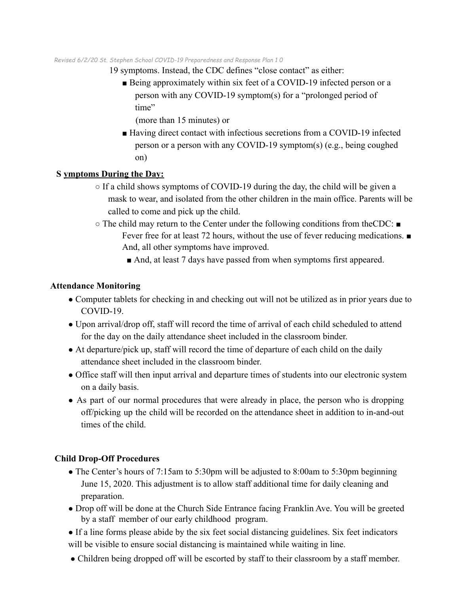#### *Revised 6/2/20 St. Stephen School COVID-19 Preparedness and Response Plan 1 0*

- 19 symptoms. Instead, the CDC defines "close contact" as either:
	- Being approximately within six feet of a COVID-19 infected person or a person with any COVID-19 symptom(s) for a "prolonged period of time"

(more than 15 minutes) or

■ Having direct contact with infectious secretions from a COVID-19 infected person or a person with any COVID-19 symptom(s) (e.g., being coughed on)

#### **S ymptoms During the Day:**

- $\circ$  If a child shows symptoms of COVID-19 during the day, the child will be given a mask to wear, and isolated from the other children in the main office. Parents will be called to come and pick up the child.
- $\circ$  The child may return to the Center under the following conditions from theCDC:  $\blacksquare$ Fever free for at least 72 hours, without the use of fever reducing medications. ■ And, all other symptoms have improved.
	- And, at least 7 days have passed from when symptoms first appeared.

#### **Attendance Monitoring**

- Computer tablets for checking in and checking out will not be utilized as in prior years due to COVID-19.
- Upon arrival/drop off, staff will record the time of arrival of each child scheduled to attend for the day on the daily attendance sheet included in the classroom binder.
- At departure/pick up, staff will record the time of departure of each child on the daily attendance sheet included in the classroom binder.
- Office staff will then input arrival and departure times of students into our electronic system on a daily basis.
- As part of our normal procedures that were already in place, the person who is dropping off/picking up the child will be recorded on the attendance sheet in addition to in-and-out times of the child.

#### **Child Drop-Off Procedures**

- The Center's hours of 7:15am to 5:30pm will be adjusted to 8:00am to 5:30pm beginning June 15, 2020. This adjustment is to allow staff additional time for daily cleaning and preparation.
- Drop off will be done at the Church Side Entrance facing Franklin Ave. You will be greeted by a staff member of our early childhood program.
- If a line forms please abide by the six feet social distancing guidelines. Six feet indicators will be visible to ensure social distancing is maintained while waiting in line.
- Children being dropped off will be escorted by staff to their classroom by a staff member.